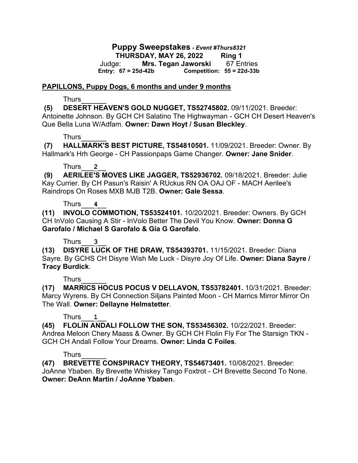### **Puppy Sweepstakes** *- Event #Thurs8321* **THURSDAY, MAY 26, 2022 Ring 1** Judge: **Mrs. Tegan Jaworski** 67 Entries **Entry: 67 = 25d-42b Competition: 55 = 22d-33b**

#### **PAPILLONS, Puppy Dogs, 6 months and under 9 months**

#### Thurs\_\_\_\_\_\_

**(5) DESERT HEAVEN'S GOLD NUGGET, TS52745802.** 09/11/2021. Breeder: Antoinette Johnson. By GCH CH Salatino The Highwayman - GCH CH Desert Heaven's Que Bella Luna W/Adfam. **Owner: Dawn Hoyt / Susan Bleckley**.

## Thurs\_\_\_\_\_\_

**(7) HALLMARK'S BEST PICTURE, TS54810501.** 11/09/2021. Breeder: Owner. By Hallmark's Hrh George - CH Passionpaps Game Changer. **Owner: Jane Snider**.

## Thurs\_\_\_**2**\_\_

**(9) AERILEE'S MOVES LIKE JAGGER, TS52936702.** 09/18/2021. Breeder: Julie Kay Currier. By CH Pasun's Raisin' A RUckus RN OA OAJ OF - MACH Aerilee's Raindrops On Roses MXB MJB T2B. **Owner: Gale Sessa**.

### Thurs\_\_\_**4**\_\_

**(11) INVOLO COMMOTION, TS53524101.** 10/20/2021. Breeder: Owners. By GCH CH InVolo Causing A Stir - InVolo Better The Devil You Know. **Owner: Donna G Garofalo / Michael S Garofalo & Gia G Garofalo**.

## Thurs\_\_\_**3**\_\_

**(13) DISYRE LUCK OF THE DRAW, TS54393701.** 11/15/2021. Breeder: Diana Sayre. By GCHS CH Disyre Wish Me Luck - Disyre Joy Of Life. **Owner: Diana Sayre / Tracy Burdick**.

## Thurs\_\_\_\_\_\_

**(17) MARRICS HOCUS POCUS V DELLAVON, TS53782401.** 10/31/2021. Breeder: Marcy Wyrens. By CH Connection Siljans Painted Moon - CH Marrics Mirror Mirror On The Wall. **Owner: Dellayne Helmstetter**.

## Thurs\_\_\_**1**\_\_

**(45) FLOLIN ANDALI FOLLOW THE SON, TS53456302.** 10/22/2021. Breeder: Andrea Meloon Chery Maass & Owner. By GCH CH Flolin Fly For The Starsign TKN - GCH CH Andali Follow Your Dreams. **Owner: Linda C Foiles**.

## Thurs\_\_\_\_\_\_

**(47) BREVETTE CONSPIRACY THEORY, TS54673401.** 10/08/2021. Breeder: JoAnne Ybaben. By Brevette Whiskey Tango Foxtrot - CH Brevette Second To None. **Owner: DeAnn Martin / JoAnne Ybaben**.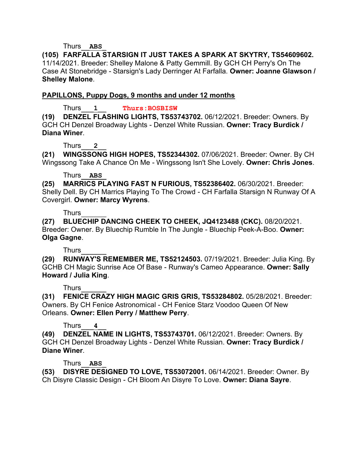Thurs\_\_**ABS**\_

**(105) FARFALLA STARSIGN IT JUST TAKES A SPARK AT SKYTRY, TS54609602.**  11/14/2021. Breeder: Shelley Malone & Patty Gemmill. By GCH CH Perry's On The Case At Stonebridge - Starsign's Lady Derringer At Farfalla. **Owner: Joanne Glawson / Shelley Malone**.

## **PAPILLONS, Puppy Dogs, 9 months and under 12 months**

Thurs\_\_\_**1**\_\_ **Thurs:BOSBISW**

**(19) DENZEL FLASHING LIGHTS, TS53743702.** 06/12/2021. Breeder: Owners. By GCH CH Denzel Broadway Lights - Denzel White Russian. **Owner: Tracy Burdick / Diana Winer**.

## Thurs\_\_\_**2**\_\_

**(21) WINGSSONG HIGH HOPES, TS52344302.** 07/06/2021. Breeder: Owner. By CH Wingssong Take A Chance On Me - Wingssong Isn't She Lovely. **Owner: Chris Jones**.

## Thurs\_\_**ABS**\_

**(25) MARRICS PLAYING FAST N FURIOUS, TS52386402.** 06/30/2021. Breeder: Shelly Dell. By CH Marrics Playing To The Crowd - CH Farfalla Starsign N Runway Of A Covergirl. **Owner: Marcy Wyrens**.

# Thurs\_\_\_\_\_\_

**(27) BLUECHIP DANCING CHEEK TO CHEEK, JQ4123488 (CKC).** 08/20/2021. Breeder: Owner. By Bluechip Rumble In The Jungle - Bluechip Peek-A-Boo. **Owner: Olga Gagne**.

Thurs\_\_\_\_\_\_

**(29) RUNWAY'S REMEMBER ME, TS52124503.** 07/19/2021. Breeder: Julia King. By GCHB CH Magic Sunrise Ace Of Base - Runway's Cameo Appearance. **Owner: Sally Howard / Julia King**.

Thurs\_\_\_\_\_\_

**(31) FENICE CRAZY HIGH MAGIC GRIS GRIS, TS53284802.** 05/28/2021. Breeder: Owners. By CH Fenice Astronomical - CH Fenice Starz Voodoo Queen Of New Orleans. **Owner: Ellen Perry / Matthew Perry**.

# Thurs\_\_\_**4**\_\_

**(49) DENZEL NAME IN LIGHTS, TS53743701.** 06/12/2021. Breeder: Owners. By GCH CH Denzel Broadway Lights - Denzel White Russian. **Owner: Tracy Burdick / Diane Winer**.

## Thurs\_\_**ABS**\_

**(53) DISYRE DESIGNED TO LOVE, TS53072001.** 06/14/2021. Breeder: Owner. By Ch Disyre Classic Design - CH Bloom An Disyre To Love. **Owner: Diana Sayre**.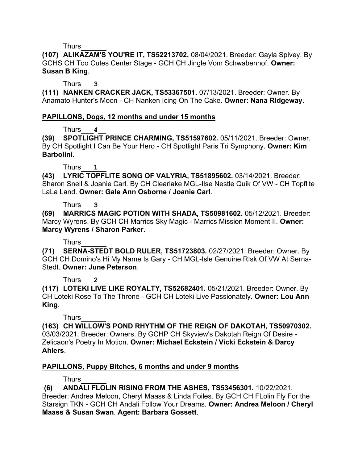**(107) ALIKAZAM'S YOU'RE IT, TS52213702.** 08/04/2021. Breeder: Gayla Spivey. By GCHS CH Too Cutes Center Stage - GCH CH Jingle Vom Schwabenhof. **Owner: Susan B King**.

Thurs\_\_\_**3**\_\_

**(111) NANKEN CRACKER JACK, TS53367501.** 07/13/2021. Breeder: Owner. By Anamato Hunter's Moon - CH Nanken Icing On The Cake. **Owner: Nana RIdgeway**.

# **PAPILLONS, Dogs, 12 months and under 15 months**

Thurs\_\_\_**4**\_\_

**(39) SPOTLIGHT PRINCE CHARMING, TS51597602.** 05/11/2021. Breeder: Owner. By CH Spotlight I Can Be Your Hero - CH Spotlight Paris Tri Symphony. **Owner: Kim Barbolini**.

Thurs\_\_\_**1**\_\_

**(43) LYRIC TOPFLITE SONG OF VALYRIA, TS51895602.** 03/14/2021. Breeder: Sharon Snell & Joanie Carl. By CH Clearlake MGL-Ilse Nestle Quik Of VW - CH Topflite LaLa Land. **Owner: Gale Ann Osborne / Joanie Carl**.

## Thurs\_\_\_**3**\_\_

**(69) MARRICS MAGIC POTION WITH SHADA, TS50981602.** 05/12/2021. Breeder: Marcy Wyrens. By GCH CH Marrics Sky Magic - Marrics Mission Moment II. **Owner: Marcy Wyrens / Sharon Parker**.

# Thurs\_\_\_\_\_\_

**(71) SERNA-STEDT BOLD RULER, TS51723803.** 02/27/2021. Breeder: Owner. By GCH CH Domino's Hi My Name Is Gary - CH MGL-Isle Genuine RIsk Of VW At Serna-Stedt. **Owner: June Peterson**.

# Thurs\_\_\_**2**\_\_

**(117) LOTEKI LIVE LIKE ROYALTY, TS52682401.** 05/21/2021. Breeder: Owner. By CH Loteki Rose To The Throne - GCH CH Loteki Live Passionately. **Owner: Lou Ann King**.

Thurs\_\_\_\_\_\_

**(163) CH WILLOW'S POND RHYTHM OF THE REIGN OF DAKOTAH, TS50970302.**  03/03/2021. Breeder: Owners. By GCHP CH Skyview's Dakotah Reign Of Desire - Zelicaon's Poetry In Motion. **Owner: Michael Eckstein / Vicki Eckstein & Darcy Ahlers**.

# **PAPILLONS, Puppy Bitches, 6 months and under 9 months**

Thurs\_\_\_\_\_\_

**(6) ANDALI FLOLIN RISING FROM THE ASHES, TS53456301.** 10/22/2021. Breeder: Andrea Meloon, Cheryl Maass & Linda Foiles. By GCH CH FLolin Fly For the Starsign TKN - GCH CH Andali Follow Your Dreams. **Owner: Andrea Meloon / Cheryl Maass & Susan Swan**. **Agent: Barbara Gossett**.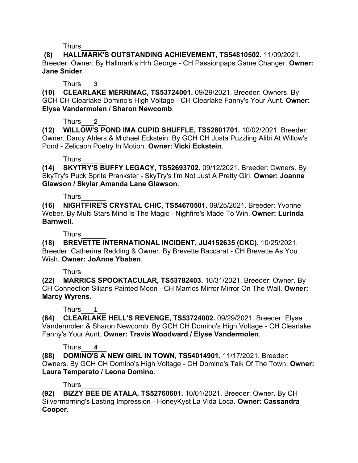**(8) HALLMARK'S OUTSTANDING ACHIEVEMENT, TS54810502.** 11/09/2021. Breeder: Owner. By Hallmark's Hrh George - CH Passionpaps Game Changer. **Owner: Jane Snider**.

## Thurs\_\_\_**3**\_\_

**(10) CLEARLAKE MERRIMAC, TS53724001.** 09/29/2021. Breeder: Owners. By GCH CH Clearlake Domino's High Voltage - CH Clearlake Fanny's Your Aunt. **Owner: Elyse Vandermolen / Sharon Newcomb**.

## Thurs\_\_\_**2**\_\_

**(12) WILLOW'S POND IMA CUPID SHUFFLE, TS52801701.** 10/02/2021. Breeder: Owner, Darcy Ahlers & Michael Eckstein. By GCH CH Justa Puzzling Alibi At Willow's Pond - Zelicaon Poetry In Motion. **Owner: Vicki Eckstein**.

## Thurs\_\_\_\_\_\_

**(14) SKYTRY'S BUFFY LEGACY, TS52693702.** 09/12/2021. Breeder: Owners. By SkyTry's Puck Sprite Prankster - SkyTry's I'm Not Just A Pretty Girl. **Owner: Joanne Glawson / Skylar Amanda Lane Glawson**.

## Thurs\_\_\_\_\_\_

**(16) NIGHTFIRE'S CRYSTAL CHIC, TS54670501.** 09/25/2021. Breeder: Yvonne Weber. By Multi Stars Mind Is The Magic - Nighfire's Made To Win. **Owner: Lurinda Barnwell**.

Thurs\_\_\_\_\_\_

**(18) BREVETTE INTERNATIONAL INCIDENT, JU4152635 (CKC).** 10/25/2021. Breeder: Catherine Redding & Owner. By Brevette Baccarat - CH Brevette As You Wish. **Owner: JoAnne Ybaben**.

# Thurs\_\_\_\_\_\_

**(22) MARRICS SPOOKTACULAR, TS53782403.** 10/31/2021. Breeder: Owner. By CH Connection Siljans Painted Moon - CH Marrics Mirror Mirror On The Wall. **Owner: Marcy Wyrens**.

# Thurs\_\_\_**1**\_\_

**(84) CLEARLAKE HELL'S REVENGE, TS53724002.** 09/29/2021. Breeder: Elyse Vandermolen & Sharon Newcomb. By GCH CH Domino's High Voltage - CH Clearlake Fanny's Your Aunt. **Owner: Travis Woodward / Elyse Vandermolen**.

# Thurs\_\_\_**4**\_\_

**(88) DOMINO'S A NEW GIRL IN TOWN, TS54014901.** 11/17/2021. Breeder: Owners. By GCH CH Domino's High Voltage - CH Domino's Talk Of The Town. **Owner: Laura Temperato / Leona Domino**.

# Thurs\_\_\_\_\_\_

**(92) BIZZY BEE DE ATALA, TS52760601.** 10/01/2021. Breeder: Owner. By CH Silvermorning's Lasting Impression - HoneyKyst La Vida Loca. **Owner: Cassandra Cooper**.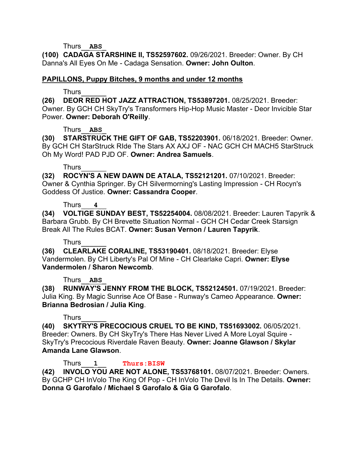Thurs\_\_**ABS**\_

**(100) CADAGA STARSHINE II, TS52597602.** 09/26/2021. Breeder: Owner. By CH Danna's All Eyes On Me - Cadaga Sensation. **Owner: John Oulton**.

### **PAPILLONS, Puppy Bitches, 9 months and under 12 months**

### Thurs\_\_\_\_\_\_

**(26) DEOR RED HOT JAZZ ATTRACTION, TS53897201.** 08/25/2021. Breeder: Owner. By GCH CH SkyTry's Transformers Hip-Hop Music Master - Deor Invicible Star Power. **Owner: Deborah O'Reilly**.

### Thurs\_\_**ABS**\_

**(30) STARSTRUCK THE GIFT OF GAB, TS52203901.** 06/18/2021. Breeder: Owner. By GCH CH StarStruck RIde The Stars AX AXJ OF - NAC GCH CH MACH5 StarStruck Oh My Word! PAD PJD OF. **Owner: Andrea Samuels**.

### Thurs\_\_\_\_\_\_

**(32) ROCYN'S A NEW DAWN DE ATALA, TS52121201.** 07/10/2021. Breeder: Owner & Cynthia Springer. By CH Silvermorning's Lasting Impression - CH Rocyn's Goddess Of Justice. **Owner: Cassandra Cooper**.

### Thurs\_\_\_**4**\_\_

**(34) VOLTIGE SUNDAY BEST, TS52254004.** 08/08/2021. Breeder: Lauren Tapyrik & Barbara Grubb. By CH Brevette Situation Normal - GCH CH Cedar Creek Starsign Break All The Rules BCAT. **Owner: Susan Vernon / Lauren Tapyrik**.

## Thurs\_\_\_\_\_\_

**(36) CLEARLAKE CORALINE, TS53190401.** 08/18/2021. Breeder: Elyse Vandermolen. By CH Liberty's Pal Of Mine - CH Clearlake Capri. **Owner: Elyse Vandermolen / Sharon Newcomb**.

## Thurs\_\_**ABS**\_

**(38) RUNWAY'S JENNY FROM THE BLOCK, TS52124501.** 07/19/2021. Breeder: Julia King. By Magic Sunrise Ace Of Base - Runway's Cameo Appearance. **Owner: Brianna Bedrosian / Julia King**.

## Thurs\_\_\_\_\_\_

**(40) SKYTRY'S PRECOCIOUS CRUEL TO BE KIND, TS51693002.** 06/05/2021. Breeder: Owners. By CH SkyTry's There Has Never Lived A More Loyal Squire - SkyTry's Precocious Riverdale Raven Beauty. **Owner: Joanne Glawson / Skylar Amanda Lane Glawson**.

Thurs\_\_\_**1**\_\_ **Thurs:BISW**

**(42) INVOLO YOU ARE NOT ALONE, TS53768101.** 08/07/2021. Breeder: Owners. By GCHP CH InVolo The King Of Pop - CH InVolo The Devil Is In The Details. **Owner: Donna G Garofalo / Michael S Garofalo & Gia G Garofalo**.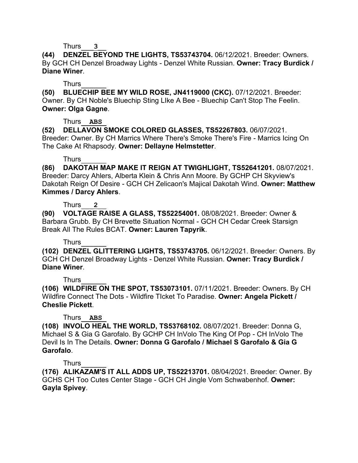**(44) DENZEL BEYOND THE LIGHTS, TS53743704.** 06/12/2021. Breeder: Owners. By GCH CH Denzel Broadway Lights - Denzel White Russian. **Owner: Tracy Burdick / Diane Winer**.

### Thurs\_\_\_\_\_\_

**(50) BLUECHIP BEE MY WILD ROSE, JN4119000 (CKC).** 07/12/2021. Breeder: Owner. By CH Noble's Bluechip Sting LIke A Bee - Bluechip Can't Stop The Feelin. **Owner: Olga Gagne**.

### Thurs\_\_**ABS**\_

**(52) DELLAVON SMOKE COLORED GLASSES, TS52267803.** 06/07/2021. Breeder: Owner. By CH Marrics Where There's Smoke There's Fire - Marrics Icing On The Cake At Rhapsody. **Owner: Dellayne Helmstetter**.

## Thurs\_\_\_\_\_\_

**(86) DAKOTAH MAP MAKE IT REIGN AT TWIGHLIGHT, TS52641201.** 08/07/2021. Breeder: Darcy Ahlers, Alberta Klein & Chris Ann Moore. By GCHP CH Skyview's Dakotah Reign Of Desire - GCH CH Zelicaon's Majical Dakotah Wind. **Owner: Matthew Kimmes / Darcy Ahlers**.

### Thurs\_\_\_**2**\_\_

**(90) VOLTAGE RAISE A GLASS, TS52254001.** 08/08/2021. Breeder: Owner & Barbara Grubb. By CH Brevette Situation Normal - GCH CH Cedar Creek Starsign Break All The Rules BCAT. **Owner: Lauren Tapyrik**.

## Thurs\_\_\_\_\_\_

**(102) DENZEL GLITTERING LIGHTS, TS53743705.** 06/12/2021. Breeder: Owners. By GCH CH Denzel Broadway Lights - Denzel White Russian. **Owner: Tracy Burdick / Diane Winer**.

## Thurs\_\_\_\_\_\_

**(106) WILDFIRE ON THE SPOT, TS53073101.** 07/11/2021. Breeder: Owners. By CH Wildfire Connect The Dots - Wildfire TIcket To Paradise. **Owner: Angela Pickett / Cheslie Pickett**.

## Thurs\_\_**ABS**\_

**(108) INVOLO HEAL THE WORLD, TS53768102.** 08/07/2021. Breeder: Donna G, Michael S & Gia G Garofalo. By GCHP CH InVolo The King Of Pop - CH InVolo The Devil Is In The Details. **Owner: Donna G Garofalo / Michael S Garofalo & Gia G Garofalo**.

## Thurs\_\_\_\_\_\_

**(176) ALIKAZAM'S IT ALL ADDS UP, TS52213701.** 08/04/2021. Breeder: Owner. By GCHS CH Too Cutes Center Stage - GCH CH Jingle Vom Schwabenhof. **Owner: Gayla Spivey**.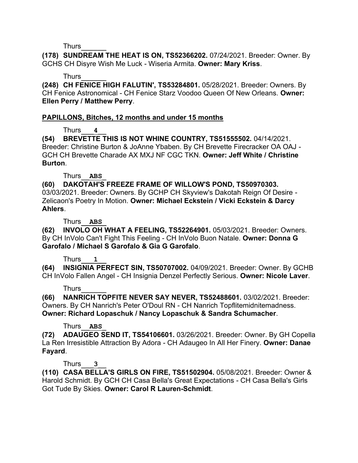**(178) SUNDREAM THE HEAT IS ON, TS52366202.** 07/24/2021. Breeder: Owner. By GCHS CH Disyre Wish Me Luck - Wiseria Armita. **Owner: Mary Kriss**.

## Thurs\_\_\_\_\_\_

**(248) CH FENICE HIGH FALUTIN', TS53284801.** 05/28/2021. Breeder: Owners. By CH Fenice Astronomical - CH Fenice Starz Voodoo Queen Of New Orleans. **Owner: Ellen Perry / Matthew Perry**.

# **PAPILLONS, Bitches, 12 months and under 15 months**

Thurs\_\_\_**4**\_\_

**(54) BREVETTE THIS IS NOT WHINE COUNTRY, TS51555502.** 04/14/2021. Breeder: Christine Burton & JoAnne Ybaben. By CH Brevette Firecracker OA OAJ - GCH CH Brevette Charade AX MXJ NF CGC TKN. **Owner: Jeff White / Christine Burton**.

Thurs\_\_**ABS**\_

**(60) DAKOTAH'S FREEZE FRAME OF WILLOW'S POND, TS50970303.**  03/03/2021. Breeder: Owners. By GCHP CH Skyview's Dakotah Reign Of Desire - Zelicaon's Poetry In Motion. **Owner: Michael Eckstein / Vicki Eckstein & Darcy Ahlers**.

Thurs\_\_**ABS**\_

**(62) INVOLO OH WHAT A FEELING, TS52264901.** 05/03/2021. Breeder: Owners. By CH InVolo Can't Fight This Feeling - CH InVolo Buon Natale. **Owner: Donna G Garofalo / Michael S Garofalo & Gia G Garofalo**.

Thurs\_\_\_**1**\_\_

**(64) INSIGNIA PERFECT SIN, TS50707002.** 04/09/2021. Breeder: Owner. By GCHB CH InVolo Fallen Angel - CH Insignia Denzel Perfectly Serious. **Owner: Nicole Laver**.

# Thurs\_\_\_\_\_\_

**(66) NANRICH TOPFITE NEVER SAY NEVER, TS52488601.** 03/02/2021. Breeder: Owners. By CH Nanrich's Peter O'Doul RN - CH Nanrich Topflitemidnitemadness. **Owner: Richard Lopaschuk / Nancy Lopaschuk & Sandra Schumacher**.

# Thurs\_\_**ABS**\_

**(72) ADAUGEO SEND IT, TS54106601.** 03/26/2021. Breeder: Owner. By GH Copella La Ren Irresistible Attraction By Adora - CH Adaugeo In All Her Finery. **Owner: Danae Fayard**.

# Thurs\_\_\_**3**\_\_

**(110) CASA BELLA'S GIRLS ON FIRE, TS51502904.** 05/08/2021. Breeder: Owner & Harold Schmidt. By GCH CH Casa Bella's Great Expectations - CH Casa Bella's Girls Got Tude By Skies. **Owner: Carol R Lauren-Schmidt**.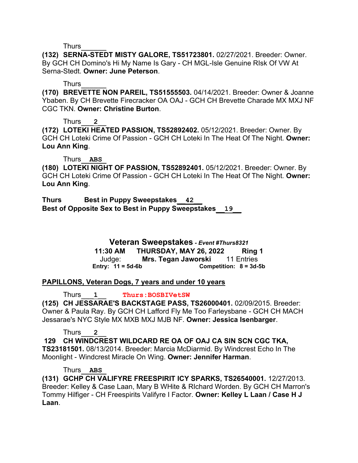**(132) SERNA-STEDT MISTY GALORE, TS51723801.** 02/27/2021. Breeder: Owner. By GCH CH Domino's Hi My Name Is Gary - CH MGL-Isle Genuine RIsk Of VW At Serna-Stedt. **Owner: June Peterson**.

#### Thurs\_\_\_\_\_\_

**(170) BREVETTE NON PAREIL, TS51555503.** 04/14/2021. Breeder: Owner & Joanne Ybaben. By CH Brevette Firecracker OA OAJ - GCH CH Brevette Charade MX MXJ NF CGC TKN. **Owner: Christine Burton**.

### Thurs\_\_\_**2**\_\_

**(172) LOTEKI HEATED PASSION, TS52892402.** 05/12/2021. Breeder: Owner. By GCH CH Loteki Crime Of Passion - GCH CH Loteki In The Heat Of The Night. **Owner: Lou Ann King**.

#### Thurs\_\_**ABS**\_

**(180) LOTEKI NIGHT OF PASSION, TS52892401.** 05/12/2021. Breeder: Owner. By GCH CH Loteki Crime Of Passion - GCH CH Loteki In The Heat Of The Night. **Owner: Lou Ann King**.

**Thurs Best in Puppy Sweepstakes\_\_42\_\_ Best of Opposite Sex to Best in Puppy Sweepstakes\_\_19\_\_**

> **Veteran Sweepstakes** *- Event #Thurs8321* **11:30 AM THURSDAY, MAY 26, 2022 Ring 1** Judge: **Mrs. Tegan Jaworski** 11 Entries **Entry: 11 = 5d-6b Competition: 8 = 3d-5b**

## **PAPILLONS, Veteran Dogs, 7 years and under 10 years**

Thurs\_\_\_**1**\_\_ **Thurs:BOSBIVetSW**

**(125) CH JESSARAE'S BACKSTAGE PASS, TS26000401.** 02/09/2015. Breeder: Owner & Paula Ray. By GCH CH Lafford Fly Me Too Farleysbane - GCH CH MACH Jessarae's NYC Style MX MXB MXJ MJB NF. **Owner: Jessica Isenbarger**.

Thurs\_\_\_**2**\_\_

**129 CH WINDCREST WILDCARD RE OA OF OAJ CA SIN SCN CGC TKA,** 

**TS23181501.** 08/13/2014. Breeder: Marcia McDiarmid. By Windcrest Echo In The Moonlight - Windcrest Miracle On Wing. **Owner: Jennifer Harman**.

#### Thurs\_\_**ABS**\_

**(131) GCHP CH VALIFYRE FREESPIRIT ICY SPARKS, TS26540001.** 12/27/2013. Breeder: Kelley & Case Laan, Mary B WHite & RIchard Worden. By GCH CH Marron's Tommy Hilfiger - CH Freespirits Valifyre I Factor. **Owner: Kelley L Laan / Case H J Laan**.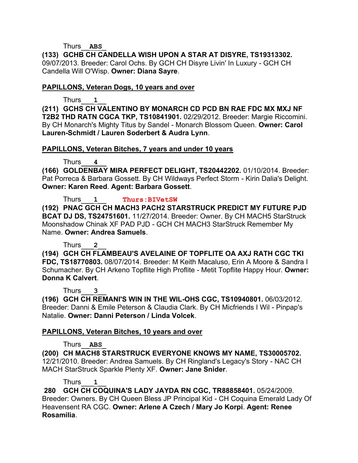Thurs\_\_**ABS**\_

**(133) GCHB CH CANDELLA WISH UPON A STAR AT DISYRE, TS19313302.**  09/07/2013. Breeder: Carol Ochs. By GCH CH Disyre Livin' In Luxury - GCH CH Candella Will O'Wisp. **Owner: Diana Sayre**.

#### **PAPILLONS, Veteran Dogs, 10 years and over**

Thurs\_\_\_**1**\_\_

**(211) GCHS CH VALENTINO BY MONARCH CD PCD BN RAE FDC MX MXJ NF T2B2 THD RATN CGCA TKP, TS10841901.** 02/29/2012. Breeder: Margie Riccomini. By CH Monarch's Mighty Titus by Sandel - Monarch Blossom Queen. **Owner: Carol Lauren-Schmidt / Lauren Soderbert & Audra Lynn**.

### **PAPILLONS, Veteran Bitches, 7 years and under 10 years**

Thurs\_\_\_**4**\_\_

**(166) GOLDENBAY MIRA PERFECT DELIGHT, TS20442202.** 01/10/2014. Breeder: Pat Porreca & Barbara Gossett. By CH Wildways Perfect Storm - Kirin Dalia's Delight. **Owner: Karen Reed**. **Agent: Barbara Gossett**.

Thurs\_\_\_**1**\_\_ **Thurs:BIVetSW**

**(192) PNAC GCH CH MACH3 PACH2 STARSTRUCK PREDICT MY FUTURE PJD BCAT DJ DS, TS24751601.** 11/27/2014. Breeder: Owner. By CH MACH5 StarStruck Moonshadow Chinak XF PAD PJD - GCH CH MACH3 StarStruck Remember My Name. **Owner: Andrea Samuels**.

Thurs\_\_\_**2**\_\_

**(194) GCH CH FLAMBEAU'S AVELAINE OF TOPFLITE OA AXJ RATH CGC TKI FDC, TS18770803.** 08/07/2014. Breeder: M Keith Macaluso, Erin A Moore & Sandra I Schumacher. By CH Arkeno Topflite High Proflite - Metit Topflite Happy Hour. **Owner: Donna K Calvert**.

Thurs\_\_\_**3**\_\_

**(196) GCH CH REMANI'S WIN IN THE WIL-OHS CGC, TS10940801.** 06/03/2012. Breeder: Danni & Emile Peterson & Claudia Clark. By CH Micfriends I Wil - Pinpap's Natalie. **Owner: Danni Peterson / Linda Volcek**.

## **PAPILLONS, Veteran Bitches, 10 years and over**

Thurs\_\_**ABS**\_

**(200) CH MACH8 STARSTRUCK EVERYONE KNOWS MY NAME, TS30005702.**  12/21/2010. Breeder: Andrea Samuels. By CH Ringland's Legacy's Story - NAC CH MACH StarStruck Sparkle Plenty XF. **Owner: Jane Snider**.

Thurs\_\_\_**1**\_\_

**280 GCH CH COQUINA'S LADY JAYDA RN CGC, TR88858401.** 05/24/2009. Breeder: Owners. By CH Queen Bless JP Principal Kid - CH Coquina Emerald Lady Of Heavensent RA CGC. **Owner: Arlene A Czech / Mary Jo Korpi**. **Agent: Renee Rosamilia**.